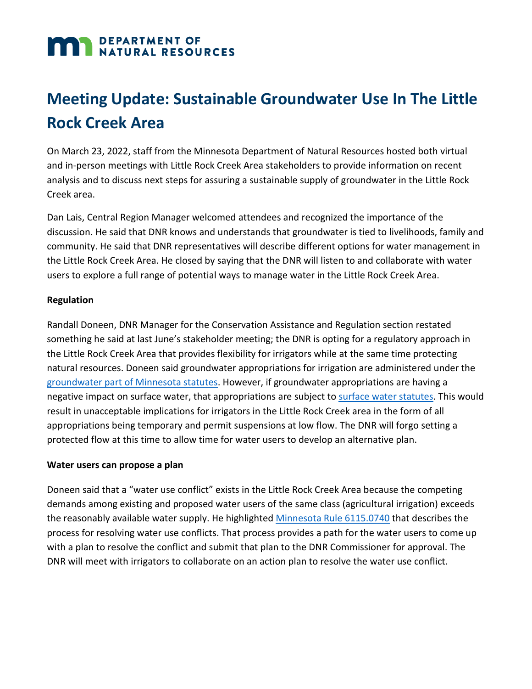# **MAN DEPARTMENT OF NATURAL RESOURCES**

# **Meeting Update: Sustainable Groundwater Use In The Little Rock Creek Area**

On March 23, 2022, staff from the Minnesota Department of Natural Resources hosted both virtual and in-person meetings with Little Rock Creek Area stakeholders to provide information on recent analysis and to discuss next steps for assuring a sustainable supply of groundwater in the Little Rock Creek area.

Dan Lais, Central Region Manager welcomed attendees and recognized the importance of the discussion. He said that DNR knows and understands that groundwater is tied to livelihoods, family and community. He said that DNR representatives will describe different options for water management in the Little Rock Creek Area. He closed by saying that the DNR will listen to and collaborate with water users to explore a full range of potential ways to manage water in the Little Rock Creek Area.

#### **Regulation**

Randall Doneen, DNR Manager for the Conservation Assistance and Regulation section restated something he said at last June's stakeholder meeting; the DNR is opting for a regulatory approach in the Little Rock Creek Area that provides flexibility for irrigators while at the same time protecting natural resources. Doneen said groundwater appropriations for irrigation are administered under the [groundwater part of Minnesota statutes.](https://www.revisor.mn.gov/statutes/cite/103G.287#stat.103G.287.2) However, if groundwater appropriations are having a negative impact on surface water, that appropriations are subject to [surface water statutes.](https://www.revisor.mn.gov/statutes/cite/103G.285) This would result in unacceptable implications for irrigators in the Little Rock Creek area in the form of all appropriations being temporary and permit suspensions at low flow. The DNR will forgo setting a protected flow at this time to allow time for water users to develop an alternative plan.

#### **Water users can propose a plan**

Doneen said that a "water use conflict" exists in the Little Rock Creek Area because the competing demands among existing and proposed water users of the same class (agricultural irrigation) exceeds the reasonably available water supply. He highlighted [Minnesota Rule 6115.0740](https://www.revisor.mn.gov/rules/6115.0740/#:%7E:text=6115.0740%20WATER%20USE%20CONFLICTS.&text=For%20the%20purpose%20of%20these,exceed%20the%20reasonably%20available%20waters.) that describes the process for resolving water use conflicts. That process provides a path for the water users to come up with a plan to resolve the conflict and submit that plan to the DNR Commissioner for approval. The DNR will meet with irrigators to collaborate on an action plan to resolve the water use conflict.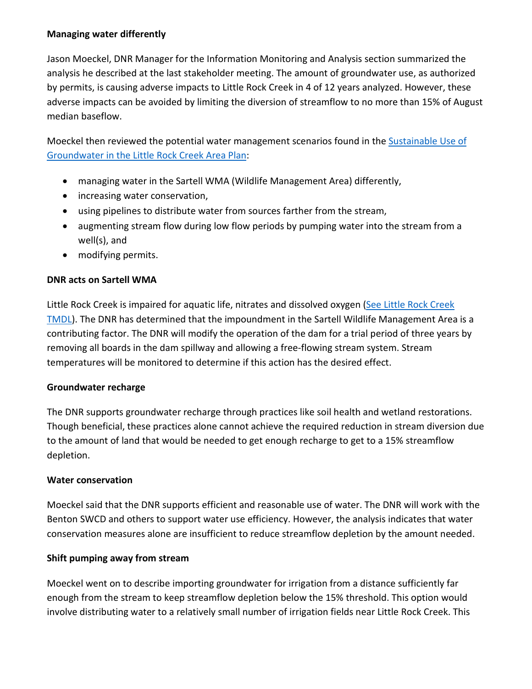#### **Managing water differently**

Jason Moeckel, DNR Manager for the Information Monitoring and Analysis section summarized the analysis he described at the last stakeholder meeting. The amount of groundwater use, as authorized by permits, is causing adverse impacts to Little Rock Creek in 4 of 12 years analyzed. However, these adverse impacts can be avoided by limiting the diversion of streamflow to no more than 15% of August median baseflow.

Moeckel then reviewed the potential water management scenarios found in the **Sustainable Use of** [Groundwater in the Little Rock Creek Area Plan:](https://files.dnr.state.mn.us/waters/groundwater_section/sustainability/littlerock/lrc-action-plan.pdf)

- managing water in the Sartell WMA (Wildlife Management Area) differently,
- increasing water conservation,
- using pipelines to distribute water from sources farther from the stream,
- augmenting stream flow during low flow periods by pumping water into the stream from a well(s), and
- modifying permits.

#### **DNR acts on Sartell WMA**

Little Rock Creek is impaired for aquatic life, nitrates and dissolved oxygen [\(See Little Rock Creek](https://www.pca.state.mn.us/sites/default/files/wq-iw8-09e.pdf)  [TMDL\)](https://www.pca.state.mn.us/sites/default/files/wq-iw8-09e.pdf). The DNR has determined that the impoundment in the Sartell Wildlife Management Area is a contributing factor. The DNR will modify the operation of the dam for a trial period of three years by removing all boards in the dam spillway and allowing a free-flowing stream system. Stream temperatures will be monitored to determine if this action has the desired effect.

#### **Groundwater recharge**

The DNR supports groundwater recharge through practices like soil health and wetland restorations. Though beneficial, these practices alone cannot achieve the required reduction in stream diversion due to the amount of land that would be needed to get enough recharge to get to a 15% streamflow depletion.

#### **Water conservation**

Moeckel said that the DNR supports efficient and reasonable use of water. The DNR will work with the Benton SWCD and others to support water use efficiency. However, the analysis indicates that water conservation measures alone are insufficient to reduce streamflow depletion by the amount needed.

#### **Shift pumping away from stream**

Moeckel went on to describe importing groundwater for irrigation from a distance sufficiently far enough from the stream to keep streamflow depletion below the 15% threshold. This option would involve distributing water to a relatively small number of irrigation fields near Little Rock Creek. This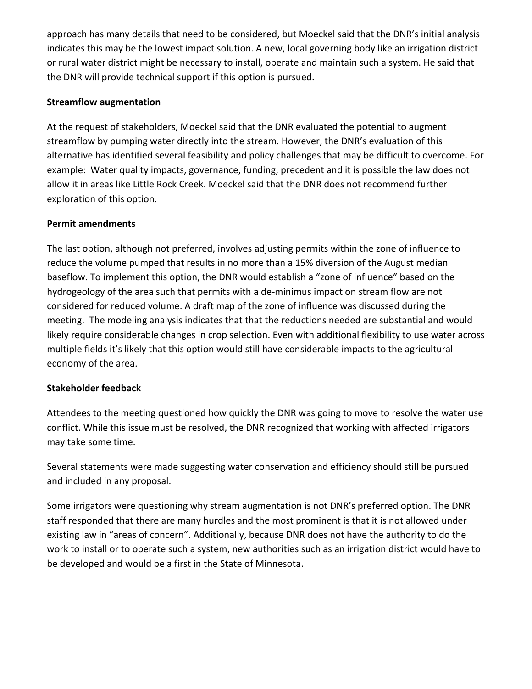approach has many details that need to be considered, but Moeckel said that the DNR's initial analysis indicates this may be the lowest impact solution. A new, local governing body like an irrigation district or rural water district might be necessary to install, operate and maintain such a system. He said that the DNR will provide technical support if this option is pursued.

### **Streamflow augmentation**

At the request of stakeholders, Moeckel said that the DNR evaluated the potential to augment streamflow by pumping water directly into the stream. However, the DNR's evaluation of this alternative has identified several feasibility and policy challenges that may be difficult to overcome. For example: Water quality impacts, governance, funding, precedent and it is possible the law does not allow it in areas like Little Rock Creek. Moeckel said that the DNR does not recommend further exploration of this option.

## **Permit amendments**

The last option, although not preferred, involves adjusting permits within the zone of influence to reduce the volume pumped that results in no more than a 15% diversion of the August median baseflow. To implement this option, the DNR would establish a "zone of influence" based on the hydrogeology of the area such that permits with a de-minimus impact on stream flow are not considered for reduced volume. A draft map of the zone of influence was discussed during the meeting. The modeling analysis indicates that that the reductions needed are substantial and would likely require considerable changes in crop selection. Even with additional flexibility to use water across multiple fields it's likely that this option would still have considerable impacts to the agricultural economy of the area.

# **Stakeholder feedback**

Attendees to the meeting questioned how quickly the DNR was going to move to resolve the water use conflict. While this issue must be resolved, the DNR recognized that working with affected irrigators may take some time.

Several statements were made suggesting water conservation and efficiency should still be pursued and included in any proposal.

Some irrigators were questioning why stream augmentation is not DNR's preferred option. The DNR staff responded that there are many hurdles and the most prominent is that it is not allowed under existing law in "areas of concern". Additionally, because DNR does not have the authority to do the work to install or to operate such a system, new authorities such as an irrigation district would have to be developed and would be a first in the State of Minnesota.